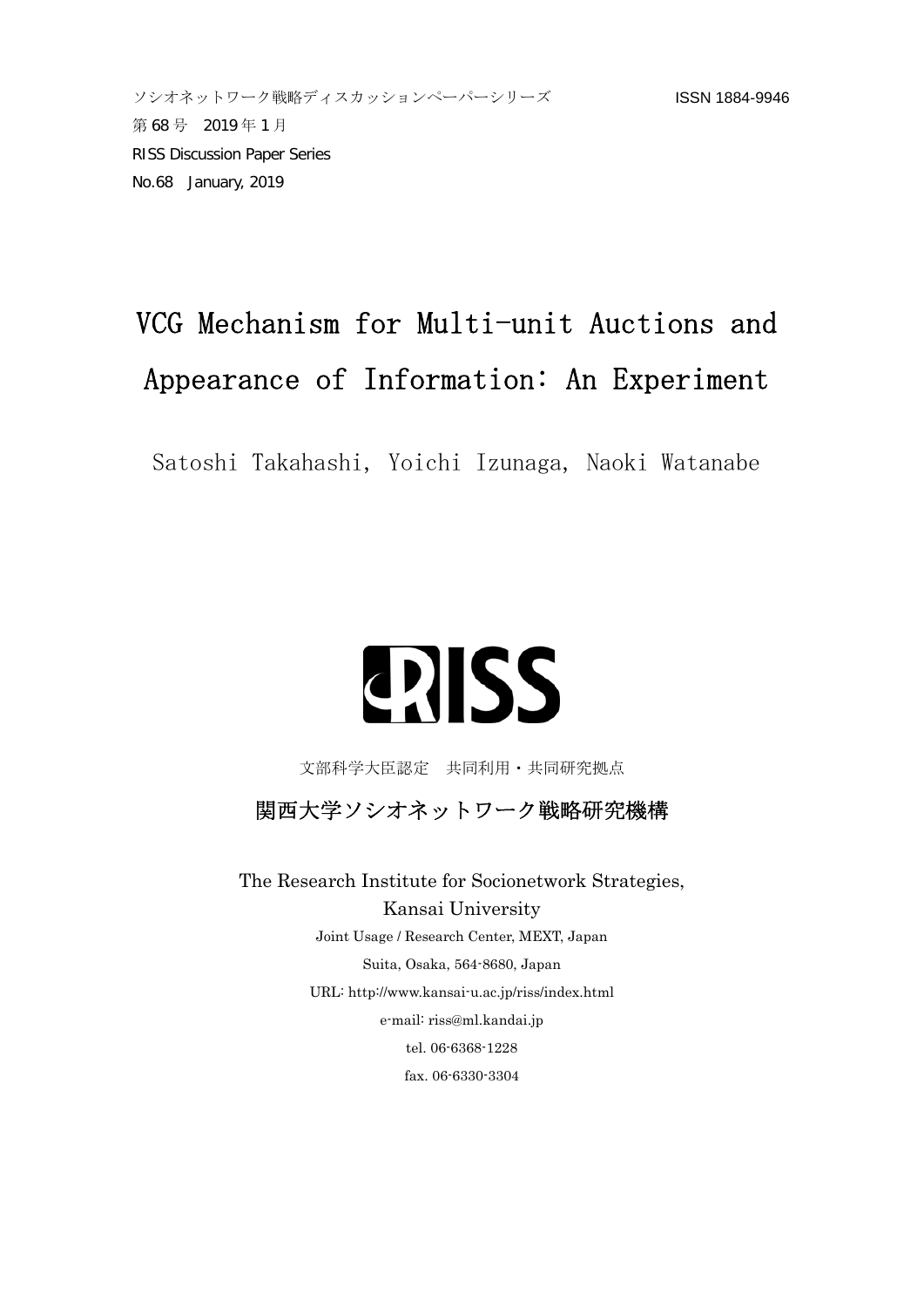## VCG Mechanism for Multi-unit Auctions and Appearance of Information: An Experiment

Satoshi Takahashi, Yoichi Izunaga, Naoki Watanabe

# **QISS**

文部科学大臣認定 共同利用・共同研究拠点

#### 関西大学ソシオネットワーク戦略研究機構

The Research Institute for Socionetwork Strategies, Kansai University Joint Usage / Research Center, MEXT, Japan Suita, Osaka, 564-8680, Japan URL: http://www.kansai-u.ac.jp/riss/index.html e-mail: riss@ml.kandai.jp tel. 06-6368-1228 fax. 06-6330-3304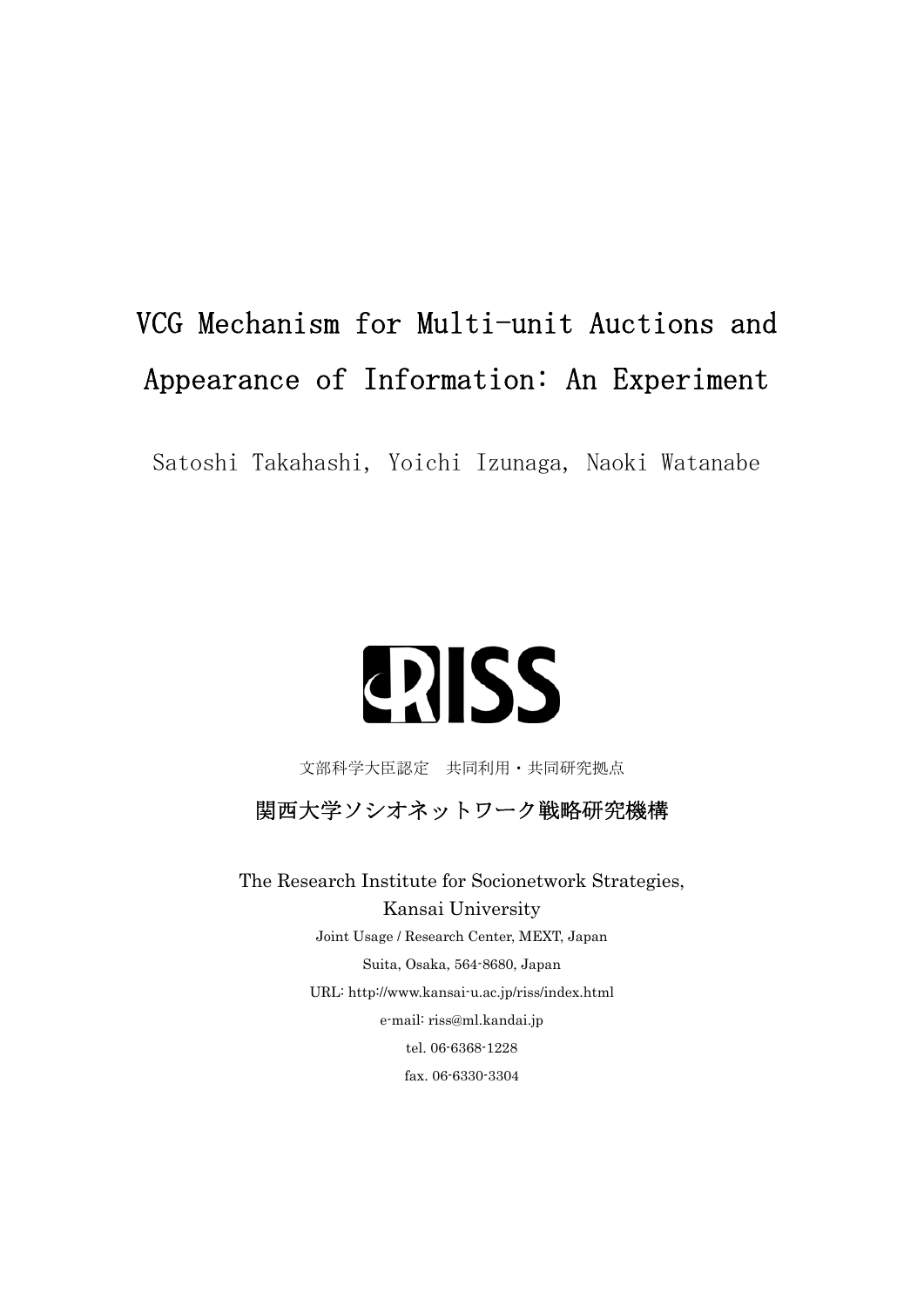### VCG Mechanism for Multi-unit Auctions and Appearance of Information: An Experiment

Satoshi Takahashi, Yoichi Izunaga, Naoki Watanabe

## **QISS**

文部科学大臣認定 共同利用・共同研究拠点

関西大学ソシオネットワーク戦略研究機構

The Research Institute for Socionetwork Strategies, Kansai University Joint Usage / Research Center, MEXT, Japan Suita, Osaka, 564-8680, Japan URL: http://www.kansai-u.ac.jp/riss/index.html e-mail: riss@ml.kandai.jp tel. 06-6368-1228 fax. 06-6330-3304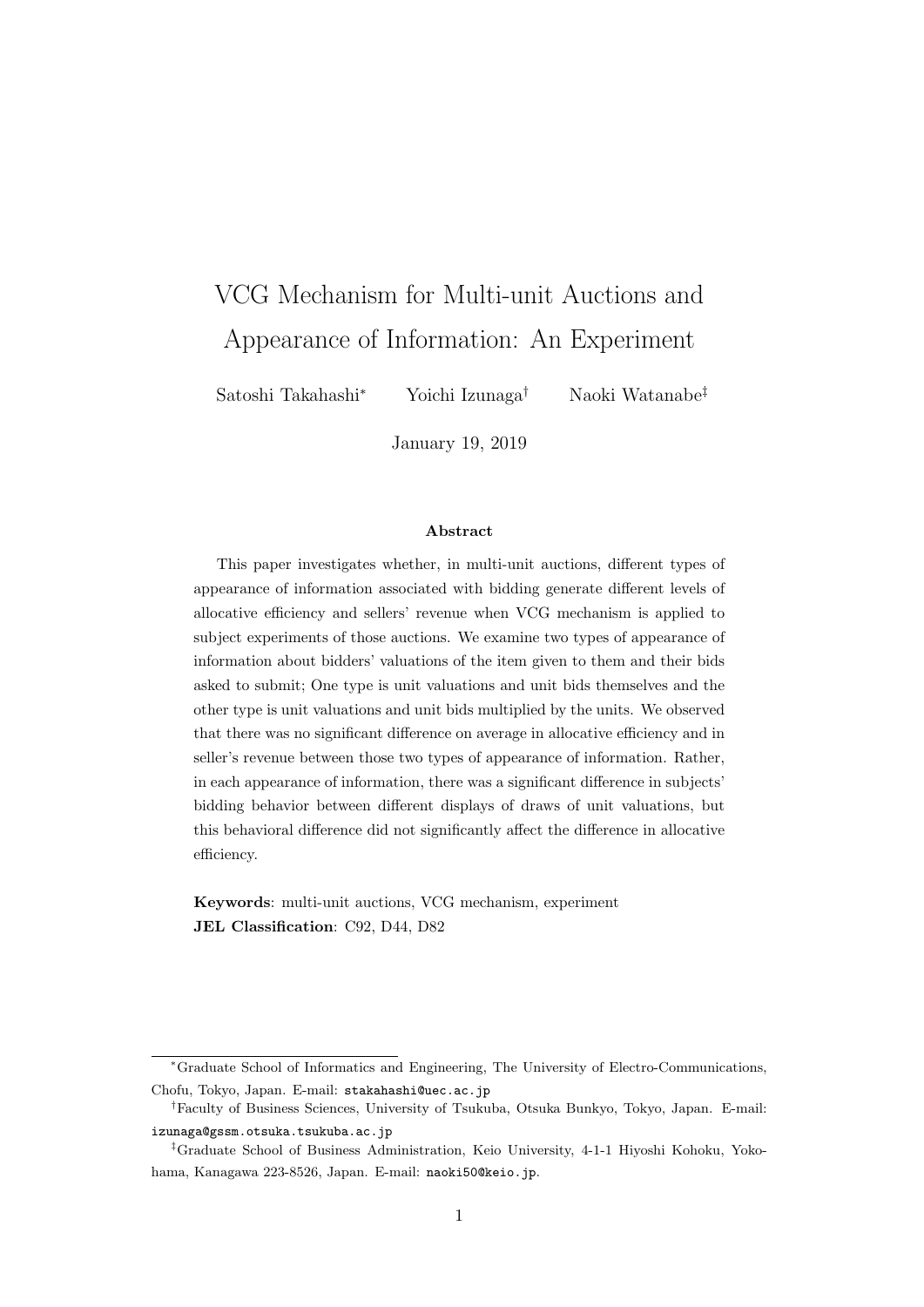### VCG Mechanism for Multi-unit Auctions and Appearance of Information: An Experiment

Satoshi Takahashi*<sup>∗</sup>* Yoichi Izunaga*†* Naoki Watanabe*‡*

January 19, 2019

#### **Abstract**

This paper investigates whether, in multi-unit auctions, different types of appearance of information associated with bidding generate different levels of allocative efficiency and sellers' revenue when VCG mechanism is applied to subject experiments of those auctions. We examine two types of appearance of information about bidders' valuations of the item given to them and their bids asked to submit; One type is unit valuations and unit bids themselves and the other type is unit valuations and unit bids multiplied by the units. We observed that there was no significant difference on average in allocative efficiency and in seller's revenue between those two types of appearance of information. Rather, in each appearance of information, there was a significant difference in subjects' bidding behavior between different displays of draws of unit valuations, but this behavioral difference did not significantly affect the difference in allocative efficiency.

**Keywords**: multi-unit auctions, VCG mechanism, experiment **JEL Classification**: C92, D44, D82

*<sup>∗</sup>*Graduate School of Informatics and Engineering, The University of Electro-Communications, Chofu, Tokyo, Japan. E-mail: stakahashi@uec.ac.jp

*<sup>†</sup>*Faculty of Business Sciences, University of Tsukuba, Otsuka Bunkyo, Tokyo, Japan. E-mail: izunaga@gssm.otsuka.tsukuba.ac.jp

*<sup>‡</sup>*Graduate School of Business Administration, Keio University, 4-1-1 Hiyoshi Kohoku, Yokohama, Kanagawa 223-8526, Japan. E-mail: naoki50@keio.jp.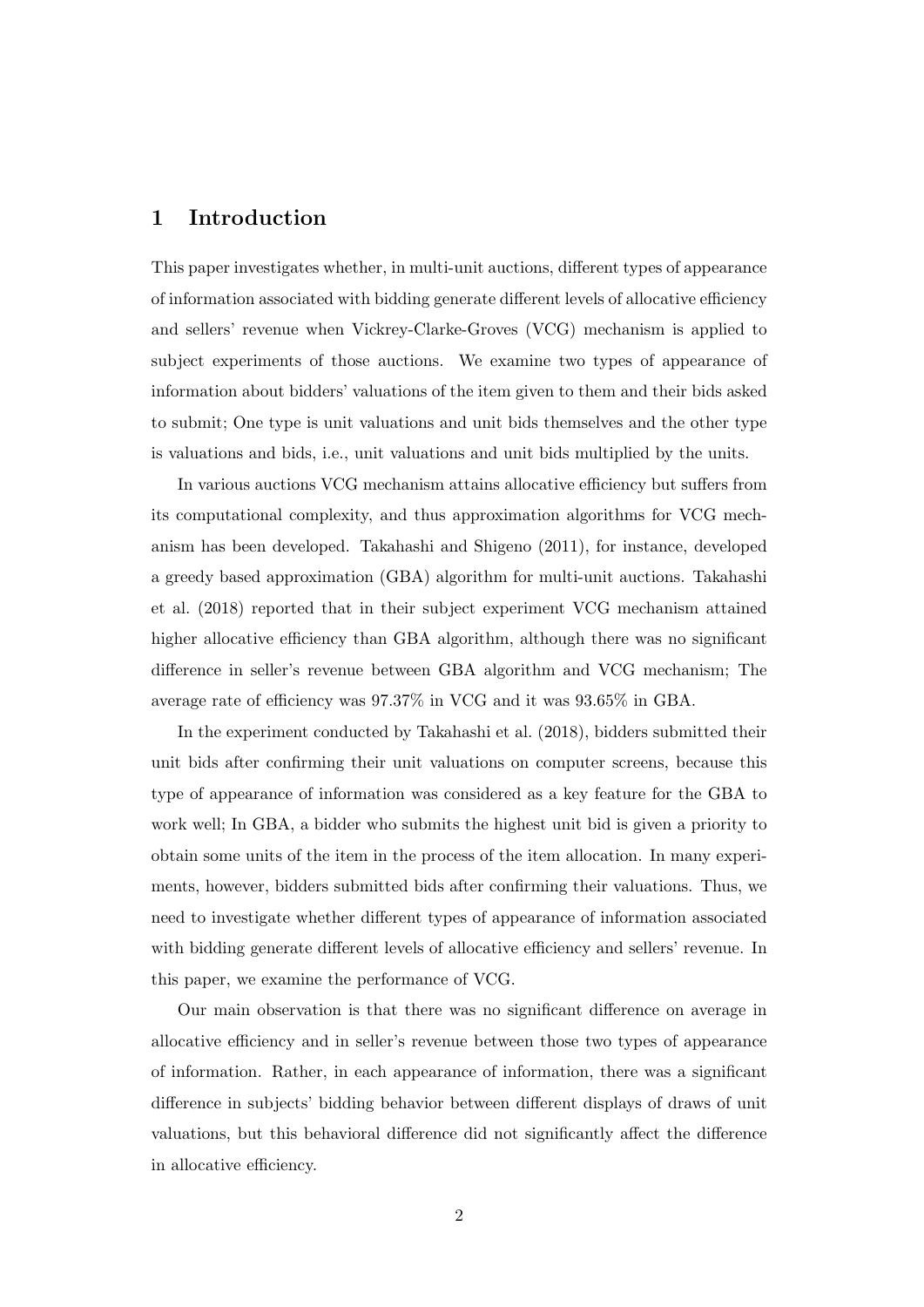#### **1 Introduction**

This paper investigates whether, in multi-unit auctions, different types of appearance of information associated with bidding generate different levels of allocative efficiency and sellers' revenue when Vickrey-Clarke-Groves (VCG) mechanism is applied to subject experiments of those auctions. We examine two types of appearance of information about bidders' valuations of the item given to them and their bids asked to submit; One type is unit valuations and unit bids themselves and the other type is valuations and bids, i.e., unit valuations and unit bids multiplied by the units.

In various auctions VCG mechanism attains allocative efficiency but suffers from its computational complexity, and thus approximation algorithms for VCG mechanism has been developed. Takahashi and Shigeno (2011), for instance, developed a greedy based approximation (GBA) algorithm for multi-unit auctions. Takahashi et al. (2018) reported that in their subject experiment VCG mechanism attained higher allocative efficiency than GBA algorithm, although there was no significant difference in seller's revenue between GBA algorithm and VCG mechanism; The average rate of efficiency was 97.37% in VCG and it was 93.65% in GBA.

In the experiment conducted by Takahashi et al. (2018), bidders submitted their unit bids after confirming their unit valuations on computer screens, because this type of appearance of information was considered as a key feature for the GBA to work well; In GBA, a bidder who submits the highest unit bid is given a priority to obtain some units of the item in the process of the item allocation. In many experiments, however, bidders submitted bids after confirming their valuations. Thus, we need to investigate whether different types of appearance of information associated with bidding generate different levels of allocative efficiency and sellers' revenue. In this paper, we examine the performance of VCG.

Our main observation is that there was no significant difference on average in allocative efficiency and in seller's revenue between those two types of appearance of information. Rather, in each appearance of information, there was a significant difference in subjects' bidding behavior between different displays of draws of unit valuations, but this behavioral difference did not significantly affect the difference in allocative efficiency.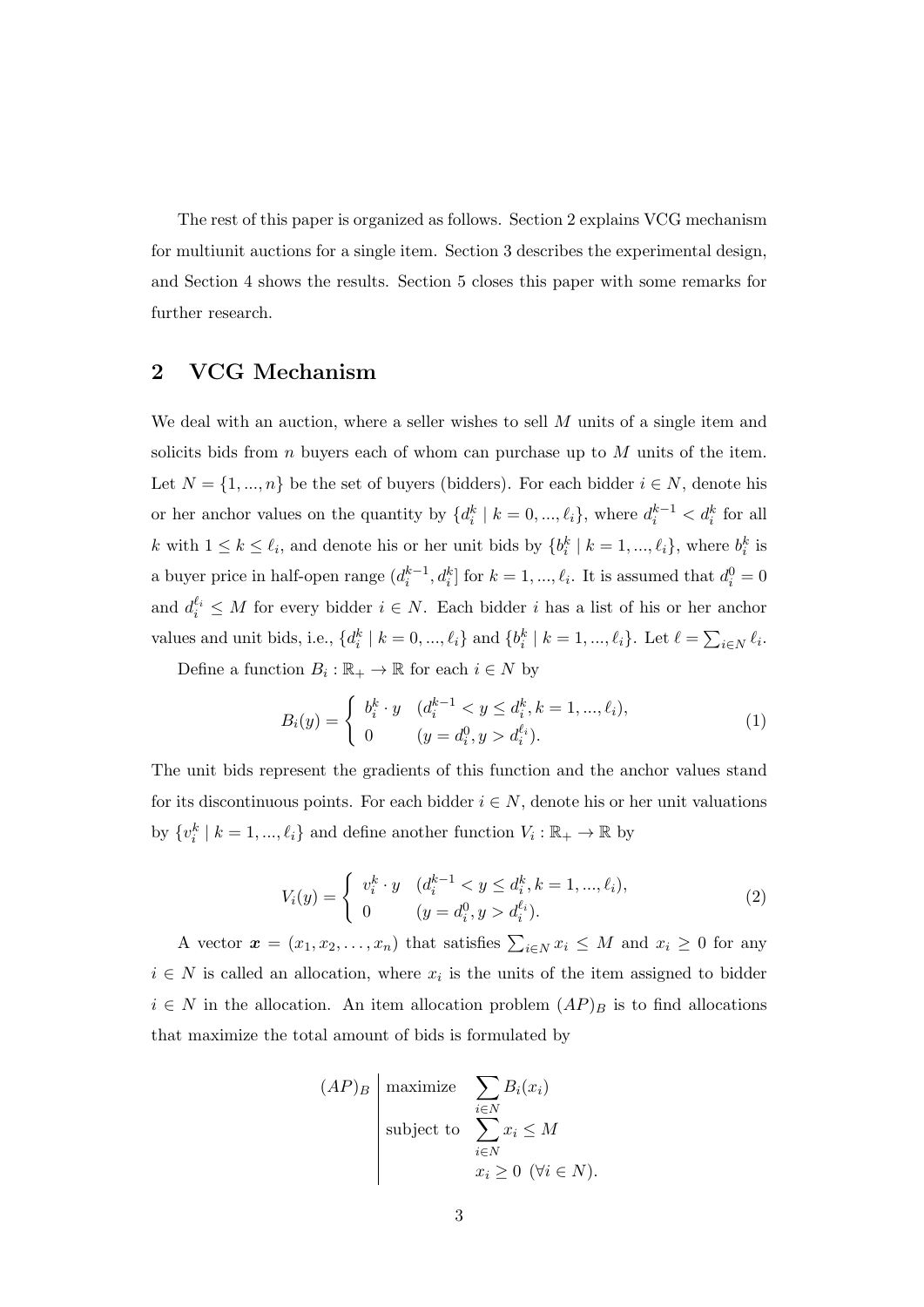The rest of this paper is organized as follows. Section 2 explains VCG mechanism for multiunit auctions for a single item. Section 3 describes the experimental design, and Section 4 shows the results. Section 5 closes this paper with some remarks for further research.

#### **2 VCG Mechanism**

We deal with an auction, where a seller wishes to sell *M* units of a single item and solicits bids from *n* buyers each of whom can purchase up to *M* units of the item. Let  $N = \{1, ..., n\}$  be the set of buyers (bidders). For each bidder  $i \in N$ , denote his or her anchor values on the quantity by  $\{d_i^k | k = 0, ..., \ell_i\}$ , where  $d_i^{k-1} < d_i^k$  for all *k* with  $1 \leq k \leq \ell_i$ , and denote his or her unit bids by  $\{b_i^k \mid k = 1, ..., \ell_i\}$ , where  $b_i^k$  is a buyer price in half-open range  $(d_i^{k-1}, d_i^k)$  for  $k = 1, ..., \ell_i$ . It is assumed that  $d_i^0 = 0$ and  $d_i^{\ell_i} \leq M$  for every bidder  $i \in N$ . Each bidder *i* has a list of his or her anchor values and unit bids, i.e.,  $\{d_i^k | k = 0, ..., \ell_i\}$  and  $\{b_i^k | k = 1, ..., \ell_i\}$ . Let  $\ell = \sum_{i \in N} \ell_i$ .

Define a function  $B_i: \mathbb{R}_+ \to \mathbb{R}$  for each  $i \in N$  by

$$
B_i(y) = \begin{cases} b_i^k \cdot y & (d_i^{k-1} < y \le d_i^k, k = 1, \dots, \ell_i), \\ 0 & (y = d_i^0, y > d_i^{\ell_i}). \end{cases} \tag{1}
$$

The unit bids represent the gradients of this function and the anchor values stand for its discontinuous points. For each bidder  $i \in N$ , denote his or her unit valuations by  $\{v_i^k \mid k = 1, ..., \ell_i\}$  and define another function  $V_i : \mathbb{R}_+ \to \mathbb{R}$  by

$$
V_i(y) = \begin{cases} v_i^k \cdot y & (d_i^{k-1} < y \le d_i^k, k = 1, \dots, \ell_i), \\ 0 & (y = d_i^0, y > d_i^{\ell_i}). \end{cases} \tag{2}
$$

A vector  $x = (x_1, x_2, \dots, x_n)$  that satisfies  $\sum_{i \in N} x_i \leq M$  and  $x_i \geq 0$  for any  $i \in N$  is called an allocation, where  $x_i$  is the units of the item assigned to bidder  $i \in N$  in the allocation. An item allocation problem  $(AP)_B$  is to find allocations that maximize the total amount of bids is formulated by

$$
(AP)_B \begin{array}{c} \text{maximize} & \sum_{i \in N} B_i(x_i) \\ \text{subject to} & \sum_{i \in N} x_i \le M \\ & x_i \ge 0 \ (\forall i \in N). \end{array}
$$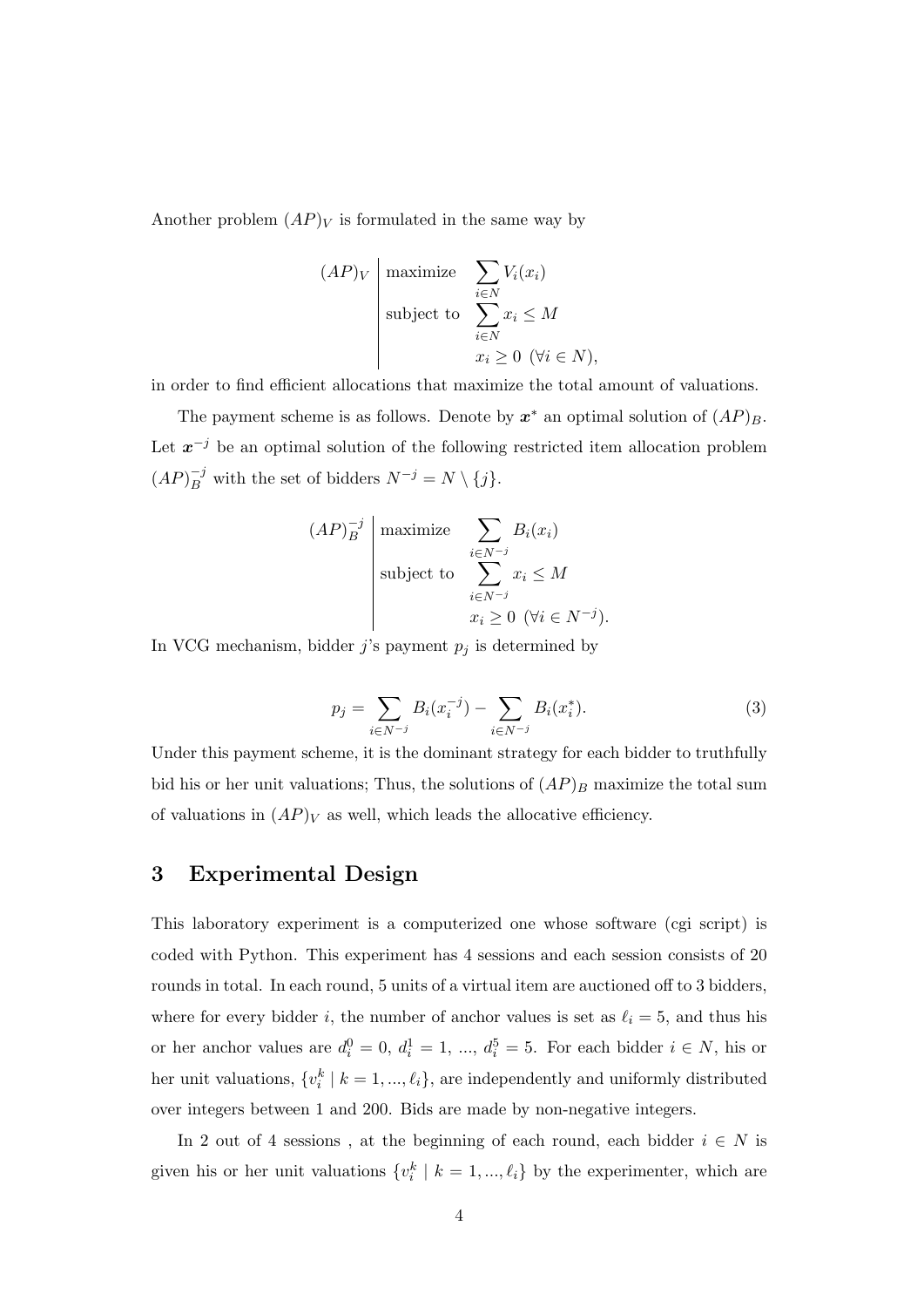Another problem  $(AP)_V$  is formulated in the same way by

$$
(AP)_V
$$
 maximize  $\sum_{i \in N} V_i(x_i)$   
subject to  $\sum_{i \in N} x_i \leq M$   
 $x_i \geq 0 \ (\forall i \in N),$ 

in order to find efficient allocations that maximize the total amount of valuations.

The payment scheme is as follows. Denote by  $x^*$  an optimal solution of  $(AP)_B$ . Let *x <sup>−</sup><sup>j</sup>* be an optimal solution of the following restricted item allocation problem  $(AP)^{-j}_{B}$  with the set of bidders  $N^{-j} = N \setminus \{j\}.$ 

$$
(AP)^{-j}_{B} \left| \begin{array}{l} \text{maximize} & \sum_{i \in N^{-j}} B_i(x_i) \\ \text{subject to} & \sum_{i \in N^{-j}} x_i \le M \\ x_i \ge 0 \ (\forall i \in N^{-j}). \end{array} \right.
$$

In VCG mechanism, bidder  $j$ 's payment  $p_j$  is determined by

$$
p_j = \sum_{i \in N^{-j}} B_i(x_i^{-j}) - \sum_{i \in N^{-j}} B_i(x_i^*).
$$
 (3)

Under this payment scheme, it is the dominant strategy for each bidder to truthfully bid his or her unit valuations; Thus, the solutions of  $(AP)_B$  maximize the total sum of valuations in  $(AP)_V$  as well, which leads the allocative efficiency.

#### **3 Experimental Design**

This laboratory experiment is a computerized one whose software (cgi script) is coded with Python. This experiment has 4 sessions and each session consists of 20 rounds in total. In each round, 5 units of a virtual item are auctioned off to 3 bidders, where for every bidder *i*, the number of anchor values is set as  $\ell_i = 5$ , and thus his or her anchor values are  $d_i^0 = 0$ ,  $d_i^1 = 1$ , ...,  $d_i^5 = 5$ . For each bidder  $i \in N$ , his or her unit valuations,  $\{v_i^k \mid k = 1, ..., \ell_i\}$ , are independently and uniformly distributed over integers between 1 and 200. Bids are made by non-negative integers.

In 2 out of 4 sessions, at the beginning of each round, each bidder  $i \in N$  is given his or her unit valuations  $\{v_i^k \mid k = 1, ..., \ell_i\}$  by the experimenter, which are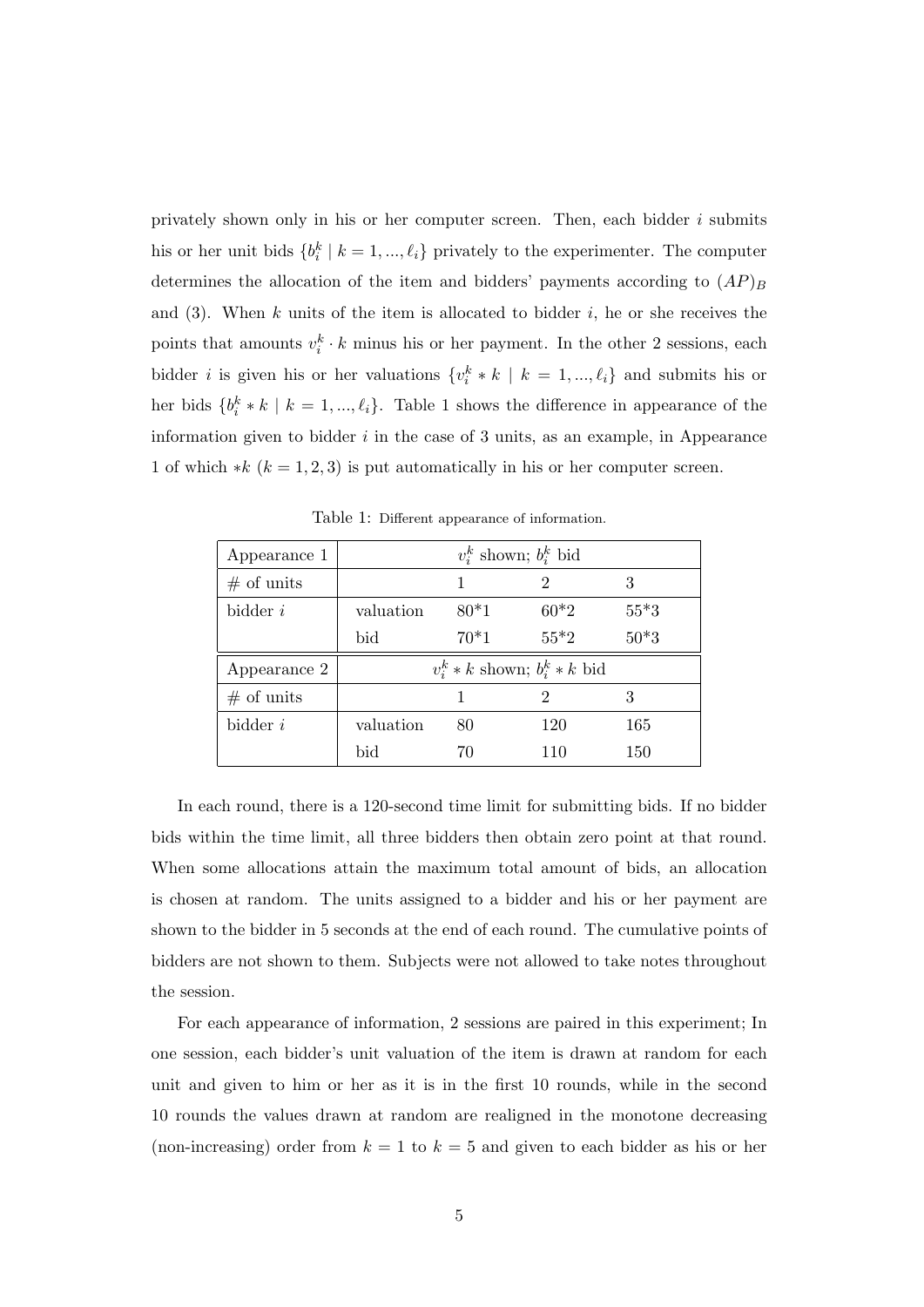privately shown only in his or her computer screen. Then, each bidder *i* submits his or her unit bids  ${b_i^k | k = 1, ..., \ell_i}$  privately to the experimenter. The computer determines the allocation of the item and bidders' payments according to  $(AP)_B$ and (3). When *k* units of the item is allocated to bidder *i*, he or she receives the points that amounts  $v_i^k \cdot k$  minus his or her payment. In the other 2 sessions, each bidder *i* is given his or her valuations  $\{v_i^k * k \mid k = 1, ..., \ell_i\}$  and submits his or her bids  ${b_i^k * k \mid k = 1, ..., \ell_i}$ . Table 1 shows the difference in appearance of the information given to bidder *i* in the case of 3 units, as an example, in Appearance 1 of which *∗k* (*k* = 1*,* 2*,* 3) is put automatically in his or her computer screen.

| Appearance 1  | $v_i^k$ shown; $b_i^k$ bid |        |                                    |        |  |  |
|---------------|----------------------------|--------|------------------------------------|--------|--|--|
| $#$ of units  |                            |        | $\mathcal{D}_{\mathcal{A}}$        | 3      |  |  |
| bidder $i$    | valuation                  | $80*1$ | $60*2$                             | $55*3$ |  |  |
|               | bid                        | $70*1$ | $55*2$                             | $50*3$ |  |  |
| Appearance 2  |                            |        | $v_i^k * k$ shown; $b_i^k * k$ bid |        |  |  |
| $#$ of units  |                            |        |                                    | 3      |  |  |
| $b$ idder $i$ | valuation                  | 80     | 120                                | 165    |  |  |
|               | bid                        | 70     | 110                                | 150    |  |  |

Table 1: Different appearance of information.

In each round, there is a 120-second time limit for submitting bids. If no bidder bids within the time limit, all three bidders then obtain zero point at that round. When some allocations attain the maximum total amount of bids, an allocation is chosen at random. The units assigned to a bidder and his or her payment are shown to the bidder in 5 seconds at the end of each round. The cumulative points of bidders are not shown to them. Subjects were not allowed to take notes throughout the session.

For each appearance of information, 2 sessions are paired in this experiment; In one session, each bidder's unit valuation of the item is drawn at random for each unit and given to him or her as it is in the first 10 rounds, while in the second 10 rounds the values drawn at random are realigned in the monotone decreasing (non-increasing) order from  $k = 1$  to  $k = 5$  and given to each bidder as his or her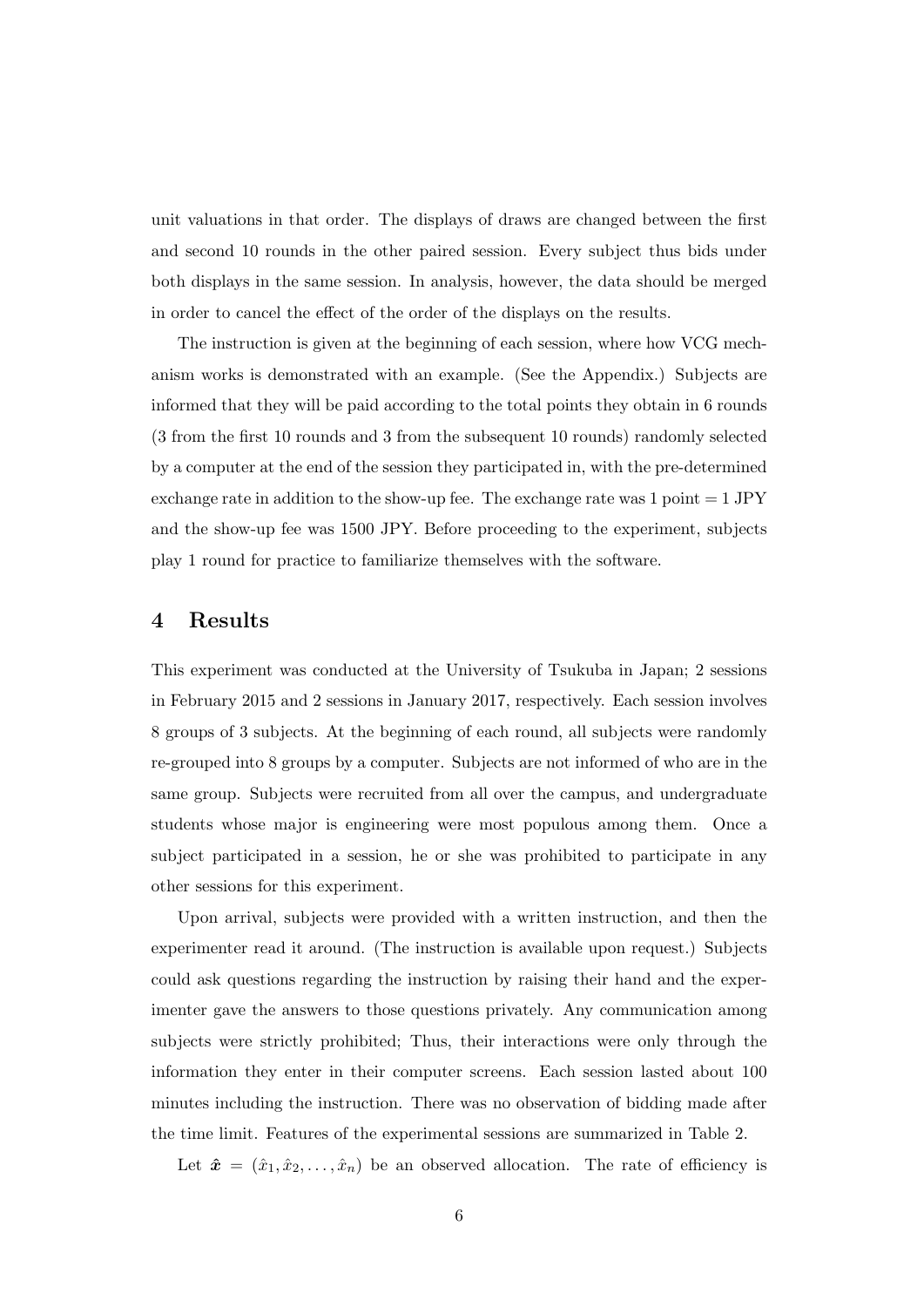unit valuations in that order. The displays of draws are changed between the first and second 10 rounds in the other paired session. Every subject thus bids under both displays in the same session. In analysis, however, the data should be merged in order to cancel the effect of the order of the displays on the results.

The instruction is given at the beginning of each session, where how VCG mechanism works is demonstrated with an example. (See the Appendix.) Subjects are informed that they will be paid according to the total points they obtain in 6 rounds (3 from the first 10 rounds and 3 from the subsequent 10 rounds) randomly selected by a computer at the end of the session they participated in, with the pre-determined exchange rate in addition to the show-up fee. The exchange rate was  $1$  point  $= 1$  JPY and the show-up fee was 1500 JPY. Before proceeding to the experiment, subjects play 1 round for practice to familiarize themselves with the software.

#### **4 Results**

This experiment was conducted at the University of Tsukuba in Japan; 2 sessions in February 2015 and 2 sessions in January 2017, respectively. Each session involves 8 groups of 3 subjects. At the beginning of each round, all subjects were randomly re-grouped into 8 groups by a computer. Subjects are not informed of who are in the same group. Subjects were recruited from all over the campus, and undergraduate students whose major is engineering were most populous among them. Once a subject participated in a session, he or she was prohibited to participate in any other sessions for this experiment.

Upon arrival, subjects were provided with a written instruction, and then the experimenter read it around. (The instruction is available upon request.) Subjects could ask questions regarding the instruction by raising their hand and the experimenter gave the answers to those questions privately. Any communication among subjects were strictly prohibited; Thus, their interactions were only through the information they enter in their computer screens. Each session lasted about 100 minutes including the instruction. There was no observation of bidding made after the time limit. Features of the experimental sessions are summarized in Table 2.

Let  $\hat{\boldsymbol{x}} = (\hat{x}_1, \hat{x}_2, \dots, \hat{x}_n)$  be an observed allocation. The rate of efficiency is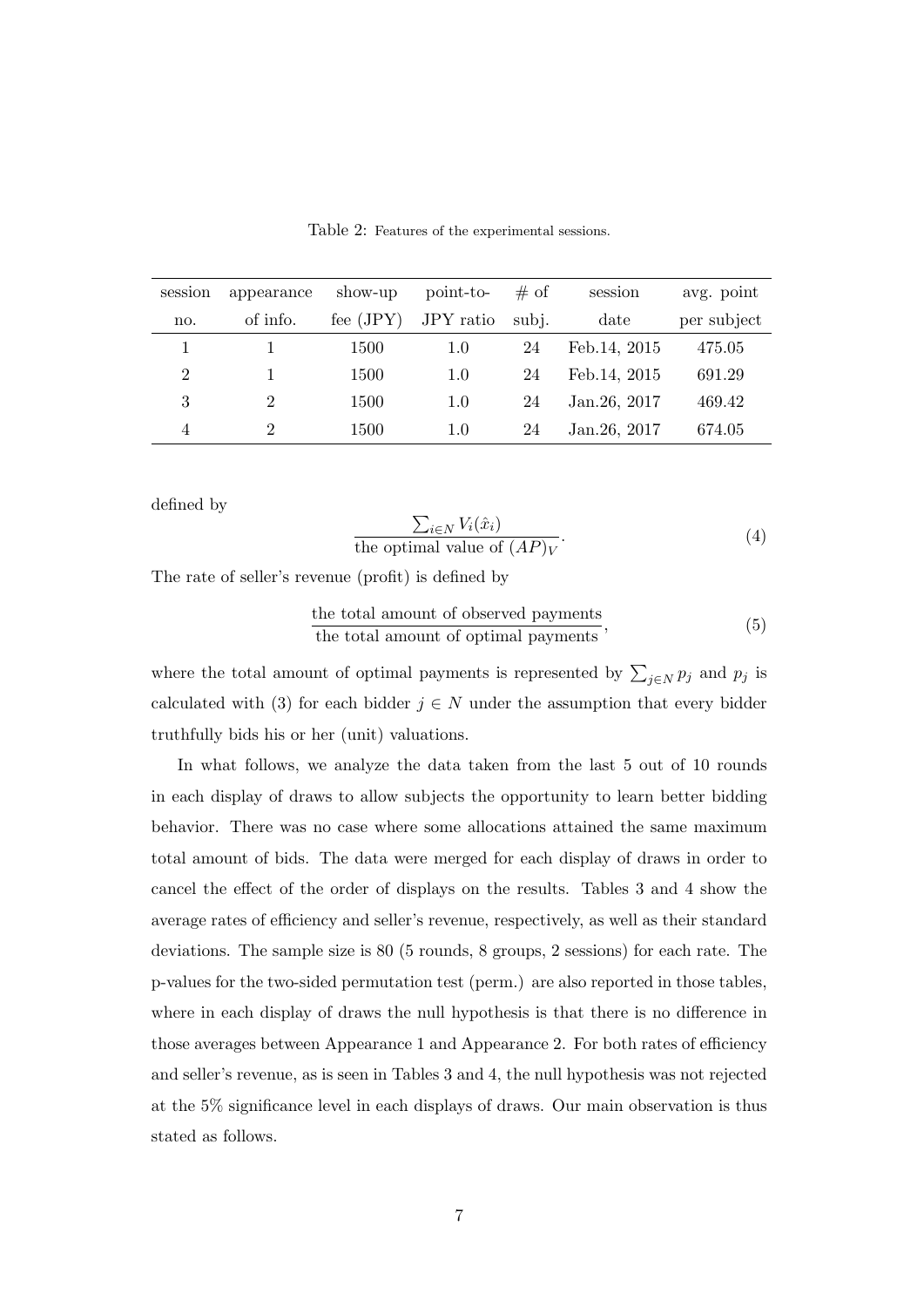| session        | appearance | show-up     | point-to- | # of  | session       | avg. point  |
|----------------|------------|-------------|-----------|-------|---------------|-------------|
| no.            | of info.   | fee $(JPY)$ | JPY ratio | subj. | date          | per subject |
|                |            | 1500        | 1.0       | 24    | Feb. 14, 2015 | 475.05      |
| $\overline{2}$ |            | 1500        | 1.0       | 24    | Feb. 14, 2015 | 691.29      |
| 3              | 2          | 1500        | 1.0       | 24    | Jan. 26, 2017 | 469.42      |
| 4              | 2          | 1500        | 1.0       | 24    | Jan. 26, 2017 | 674.05      |

Table 2: Features of the experimental sessions.

defined by

$$
\frac{\sum_{i \in N} V_i(\hat{x}_i)}{\text{the optimal value of } (AP)_V}.
$$
\n(4)

The rate of seller's revenue (profit) is defined by

$$
the total amount of observed payments,the total amount of optimal payments,
$$
\n
$$
(5)
$$

where the total amount of optimal payments is represented by  $\sum_{j \in N} p_j$  and  $p_j$  is calculated with (3) for each bidder  $j \in N$  under the assumption that every bidder truthfully bids his or her (unit) valuations.

In what follows, we analyze the data taken from the last 5 out of 10 rounds in each display of draws to allow subjects the opportunity to learn better bidding behavior. There was no case where some allocations attained the same maximum total amount of bids. The data were merged for each display of draws in order to cancel the effect of the order of displays on the results. Tables 3 and 4 show the average rates of efficiency and seller's revenue, respectively, as well as their standard deviations. The sample size is 80 (5 rounds, 8 groups, 2 sessions) for each rate. The p-values for the two-sided permutation test (perm.) are also reported in those tables, where in each display of draws the null hypothesis is that there is no difference in those averages between Appearance 1 and Appearance 2. For both rates of efficiency and seller's revenue, as is seen in Tables 3 and 4, the null hypothesis was not rejected at the 5% significance level in each displays of draws. Our main observation is thus stated as follows.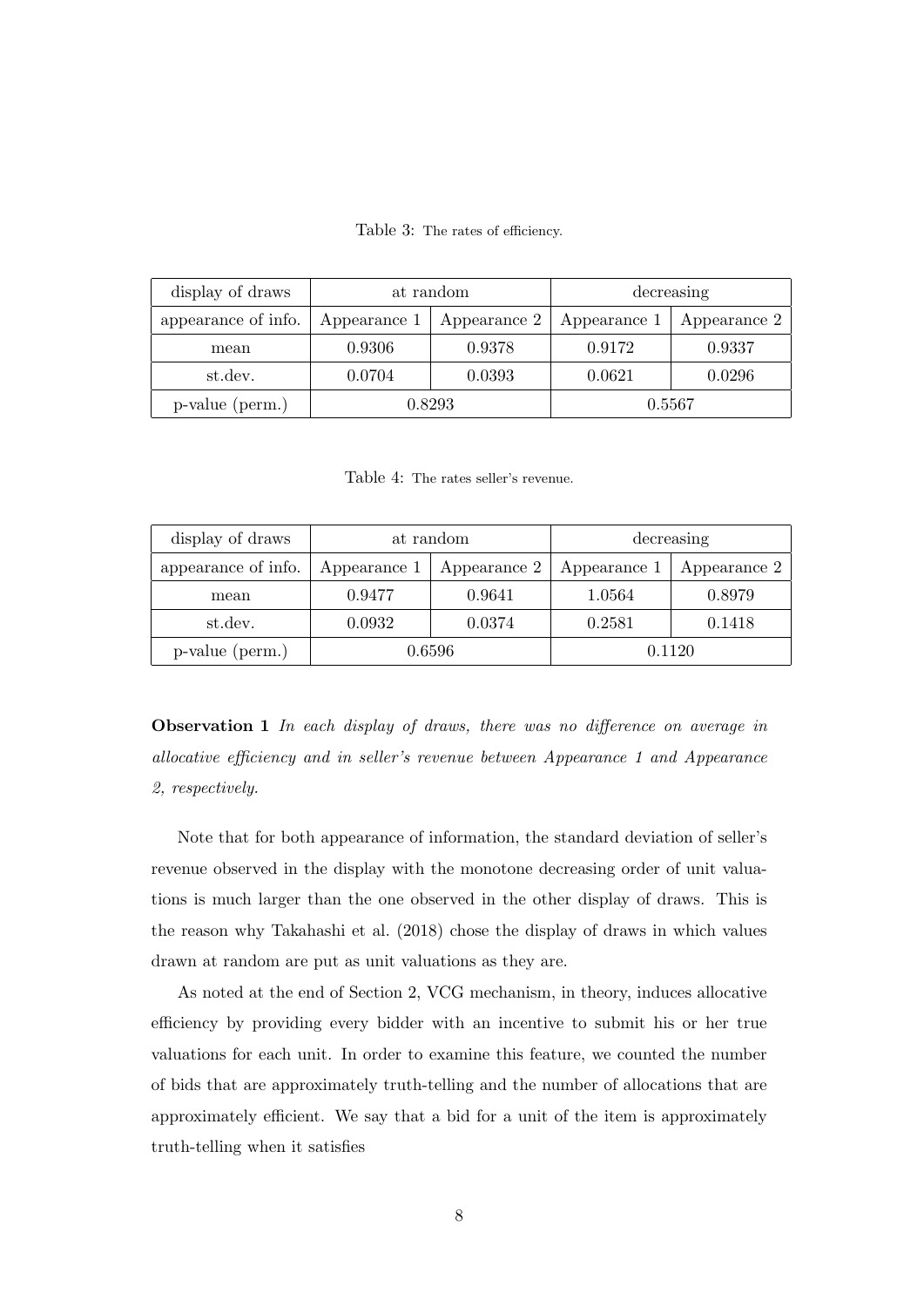| Table 3: The rates of efficiency. |  |  |  |  |
|-----------------------------------|--|--|--|--|
|-----------------------------------|--|--|--|--|

| display of draws    |                              | at random | decreasing   |              |  |
|---------------------|------------------------------|-----------|--------------|--------------|--|
| appearance of info. | Appearance 2<br>Appearance 1 |           | Appearance 1 | Appearance 2 |  |
| mean                | 0.9306                       | 0.9378    | 0.9172       | 0.9337       |  |
| st.dev.             | 0.0393<br>0.0704             |           | 0.0621       | 0.0296       |  |
| p-value (perm.)     | 0.8293                       |           | 0.5567       |              |  |

Table 4: The rates seller's revenue.

| display of draws    |                              | at random |              | decreasing   |
|---------------------|------------------------------|-----------|--------------|--------------|
| appearance of info. | Appearance 2<br>Appearance 1 |           | Appearance 1 | Appearance 2 |
| mean                | 0.9477                       | 0.9641    | 1.0564       | 0.8979       |
| st.dev.             | 0.0932                       | 0.0374    | 0.2581       | 0.1418       |
| p-value (perm.)     |                              | 0.6596    |              | 0.1120       |

**Observation 1** *In each display of draws, there was no difference on average in allocative efficiency and in seller's revenue between Appearance 1 and Appearance 2, respectively.*

Note that for both appearance of information, the standard deviation of seller's revenue observed in the display with the monotone decreasing order of unit valuations is much larger than the one observed in the other display of draws. This is the reason why Takahashi et al. (2018) chose the display of draws in which values drawn at random are put as unit valuations as they are.

As noted at the end of Section 2, VCG mechanism, in theory, induces allocative efficiency by providing every bidder with an incentive to submit his or her true valuations for each unit. In order to examine this feature, we counted the number of bids that are approximately truth-telling and the number of allocations that are approximately efficient. We say that a bid for a unit of the item is approximately truth-telling when it satisfies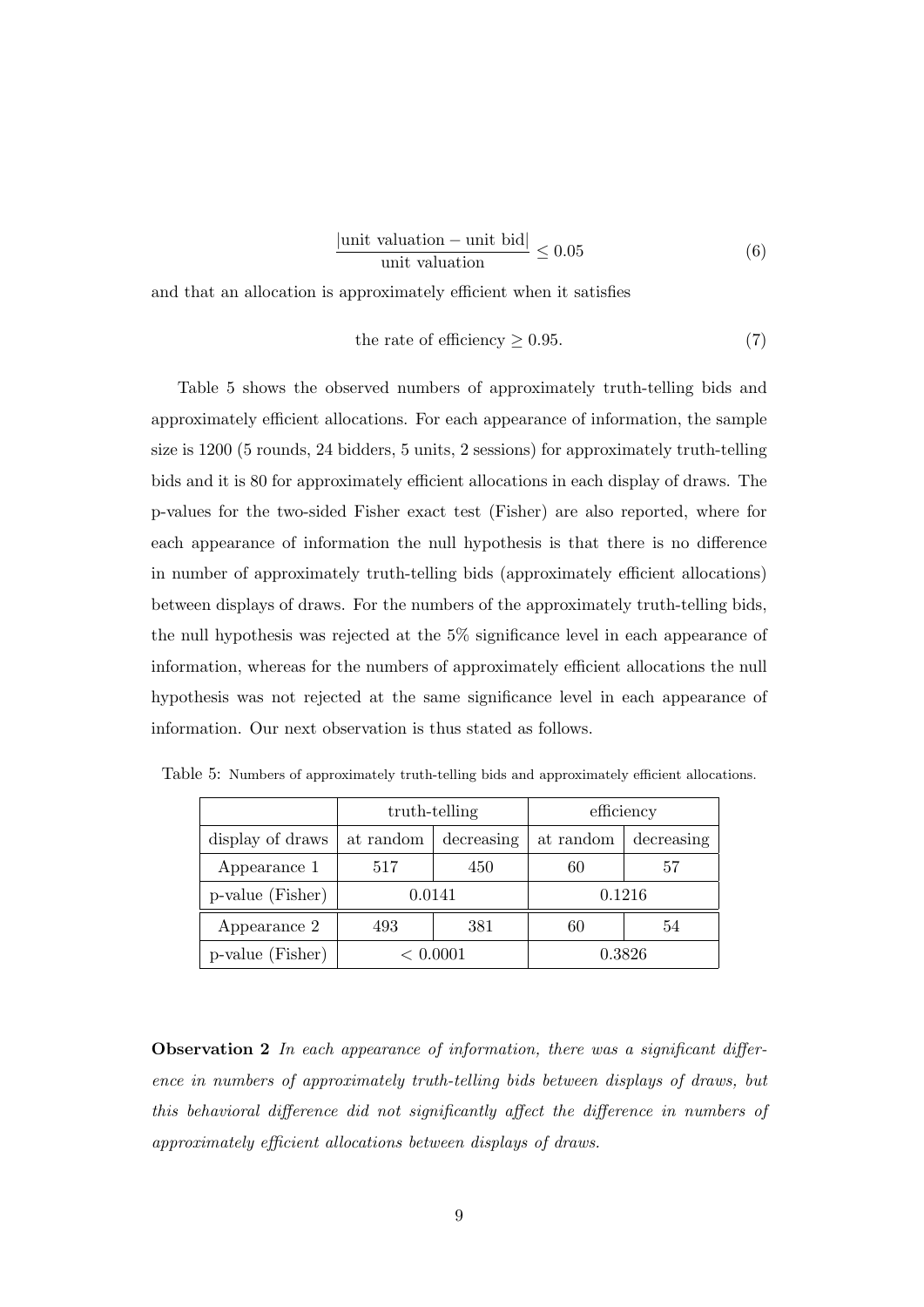$$
\frac{|\text{unit valuation} - \text{unit bid}|}{\text{unit valuation}} \le 0.05\tag{6}
$$

and that an allocation is approximately efficient when it satisfies

the rate of efficiency 
$$
\geq 0.95
$$
. (7)

Table 5 shows the observed numbers of approximately truth-telling bids and approximately efficient allocations. For each appearance of information, the sample size is 1200 (5 rounds, 24 bidders, 5 units, 2 sessions) for approximately truth-telling bids and it is 80 for approximately efficient allocations in each display of draws. The p-values for the two-sided Fisher exact test (Fisher) are also reported, where for each appearance of information the null hypothesis is that there is no difference in number of approximately truth-telling bids (approximately efficient allocations) between displays of draws. For the numbers of the approximately truth-telling bids, the null hypothesis was rejected at the 5% significance level in each appearance of information, whereas for the numbers of approximately efficient allocations the null hypothesis was not rejected at the same significance level in each appearance of information. Our next observation is thus stated as follows.

|                  |                         | truth-telling | efficiency |            |
|------------------|-------------------------|---------------|------------|------------|
| display of draws | at random<br>decreasing |               | at random  | decreasing |
| Appearance 1     | 517                     | 450           | 60         | 57         |
| p-value (Fisher) | 0.0141                  |               |            | 0.1216     |
| Appearance 2     | 493                     | 381           | 60         | 54         |
| p-value (Fisher) | < 0.0001                |               |            | 0.3826     |

Table 5: Numbers of approximately truth-telling bids and approximately efficient allocations.

**Observation 2** *In each appearance of information, there was a significant difference in numbers of approximately truth-telling bids between displays of draws, but this behavioral difference did not significantly affect the difference in numbers of approximately efficient allocations between displays of draws.*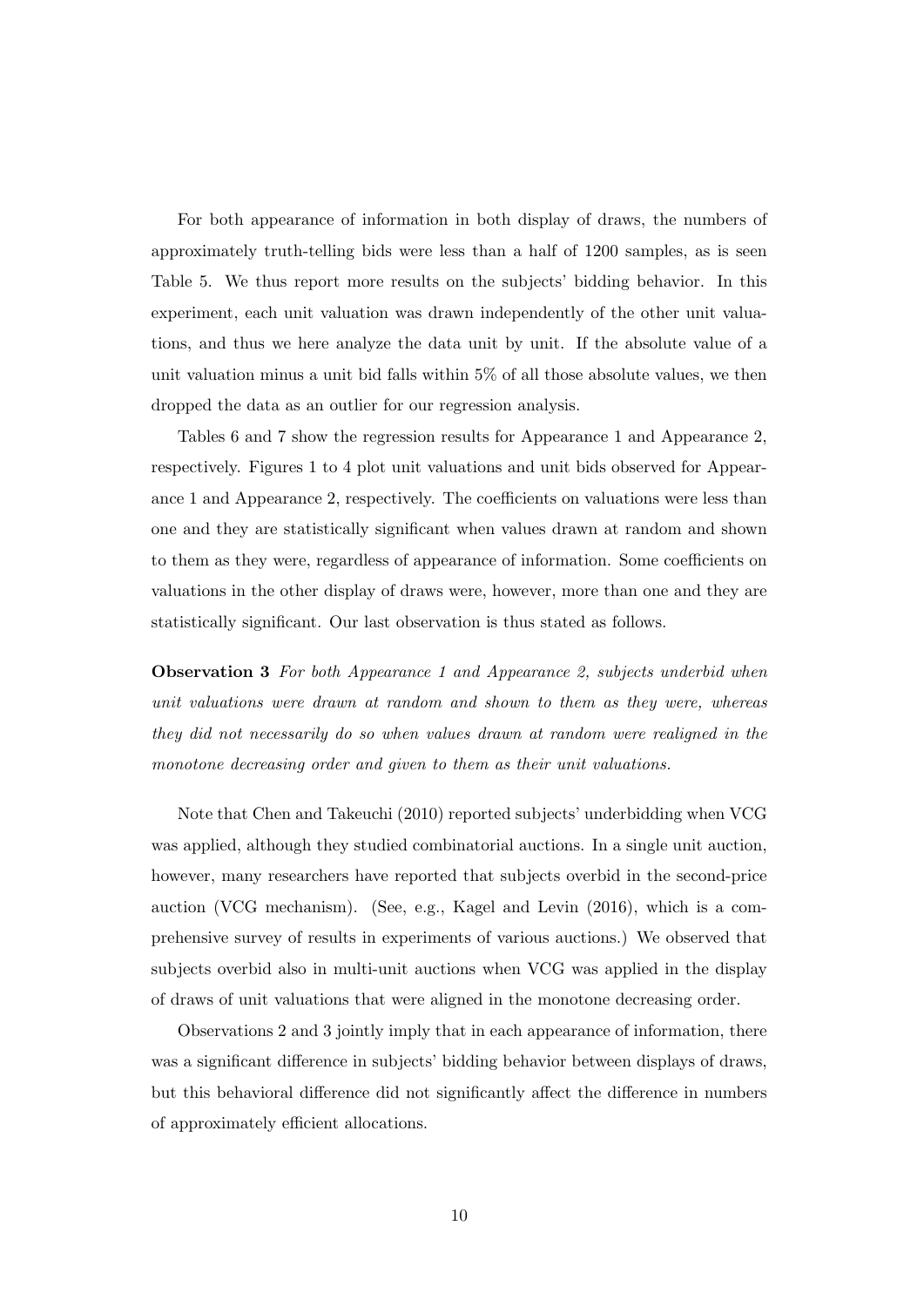For both appearance of information in both display of draws, the numbers of approximately truth-telling bids were less than a half of 1200 samples, as is seen Table 5. We thus report more results on the subjects' bidding behavior. In this experiment, each unit valuation was drawn independently of the other unit valuations, and thus we here analyze the data unit by unit. If the absolute value of a unit valuation minus a unit bid falls within 5% of all those absolute values, we then dropped the data as an outlier for our regression analysis.

Tables 6 and 7 show the regression results for Appearance 1 and Appearance 2, respectively. Figures 1 to 4 plot unit valuations and unit bids observed for Appearance 1 and Appearance 2, respectively. The coefficients on valuations were less than one and they are statistically significant when values drawn at random and shown to them as they were, regardless of appearance of information. Some coefficients on valuations in the other display of draws were, however, more than one and they are statistically significant. Our last observation is thus stated as follows.

**Observation 3** *For both Appearance 1 and Appearance 2, subjects underbid when unit valuations were drawn at random and shown to them as they were, whereas they did not necessarily do so when values drawn at random were realigned in the monotone decreasing order and given to them as their unit valuations.*

Note that Chen and Takeuchi (2010) reported subjects' underbidding when VCG was applied, although they studied combinatorial auctions. In a single unit auction, however, many researchers have reported that subjects overbid in the second-price auction (VCG mechanism). (See, e.g., Kagel and Levin (2016), which is a comprehensive survey of results in experiments of various auctions.) We observed that subjects overbid also in multi-unit auctions when VCG was applied in the display of draws of unit valuations that were aligned in the monotone decreasing order.

Observations 2 and 3 jointly imply that in each appearance of information, there was a significant difference in subjects' bidding behavior between displays of draws, but this behavioral difference did not significantly affect the difference in numbers of approximately efficient allocations.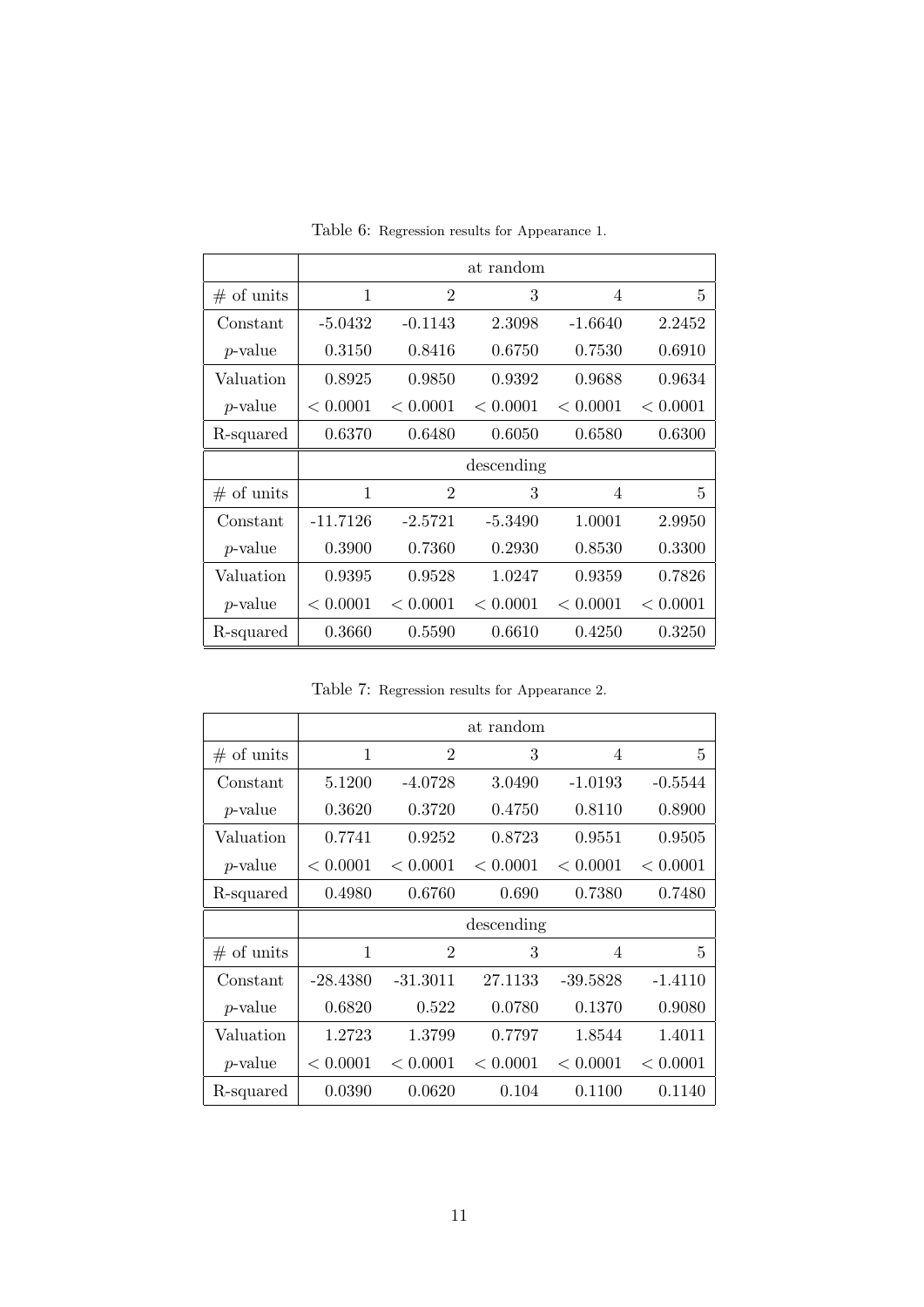|                 | at random  |                |            |                |          |  |
|-----------------|------------|----------------|------------|----------------|----------|--|
| $#$ of units    | 1          | $\overline{2}$ | 3          | $\overline{4}$ | 5        |  |
| Constant        | $-5.0432$  | $-0.1143$      | 2.3098     | $-1.6640$      | 2.2452   |  |
| <i>p</i> -value | 0.3150     | 0.8416         | 0.6750     | 0.7530         | 0.6910   |  |
| Valuation       | 0.8925     | 0.9850         | 0.9392     | 0.9688         | 0.9634   |  |
| <i>p</i> -value | < 0.0001   | < 0.0001       | < 0.0001   | < 0.0001       | < 0.0001 |  |
| R-squared       | 0.6370     | 0.6480         | 0.6050     | 0.6580         | 0.6300   |  |
|                 |            |                |            |                |          |  |
|                 |            |                | descending |                |          |  |
| $#$ of units    | 1          | $\overline{2}$ | 3          | $\overline{4}$ | 5        |  |
| Constant        | $-11.7126$ | $-2.5721$      | $-5.3490$  | 1.0001         | 2.9950   |  |
| $p$ -value      | 0.3900     | 0.7360         | 0.2930     | 0.8530         | 0.3300   |  |
| Valuation       | 0.9395     | 0.9528         | 1.0247     | 0.9359         | 0.7826   |  |
| $p$ -value      | < 0.0001   | < 0.0001       | < 0.0001   | < 0.0001       | < 0.0001 |  |

Table 6: Regression results for Appearance 1.

Table 7: Regression results for Appearance 2.

|                 |            |                | at random  |            |           |
|-----------------|------------|----------------|------------|------------|-----------|
|                 |            |                |            |            |           |
| $#$ of units    | 1          | $\overline{2}$ | 3          | 4          | 5         |
| Constant        | 5.1200     | $-4.0728$      | 3.0490     | $-1.0193$  | $-0.5544$ |
| <i>p</i> -value | 0.3620     | 0.3720         | 0.4750     | 0.8110     | 0.8900    |
| Valuation       | 0.7741     | 0.9252         | 0.8723     | 0.9551     | 0.9505    |
| <i>p</i> -value | < 0.0001   | < 0.0001       | < 0.0001   | < 0.0001   | < 0.0001  |
| R-squared       | 0.4980     | 0.6760         | 0.690      | 0.7380     | 0.7480    |
|                 |            |                | descending |            |           |
| $#$ of units    | 1          | $\overline{2}$ | 3          | 4          | 5         |
| Constant        | $-28.4380$ | $-31.3011$     | 27.1133    | $-39.5828$ | $-1.4110$ |
| <i>p</i> -value | 0.6820     | 0.522          | 0.0780     | 0.1370     | 0.9080    |
| Valuation       | 1.2723     | 1.3799         | 0.7797     | 1.8544     | 1.4011    |
| <i>p</i> -value | < 0.0001   | < 0.0001       | < 0.0001   | < 0.0001   | < 0.0001  |
| R-squared       | 0.0390     | 0.0620         | 0.104      | 0.1100     | 0.1140    |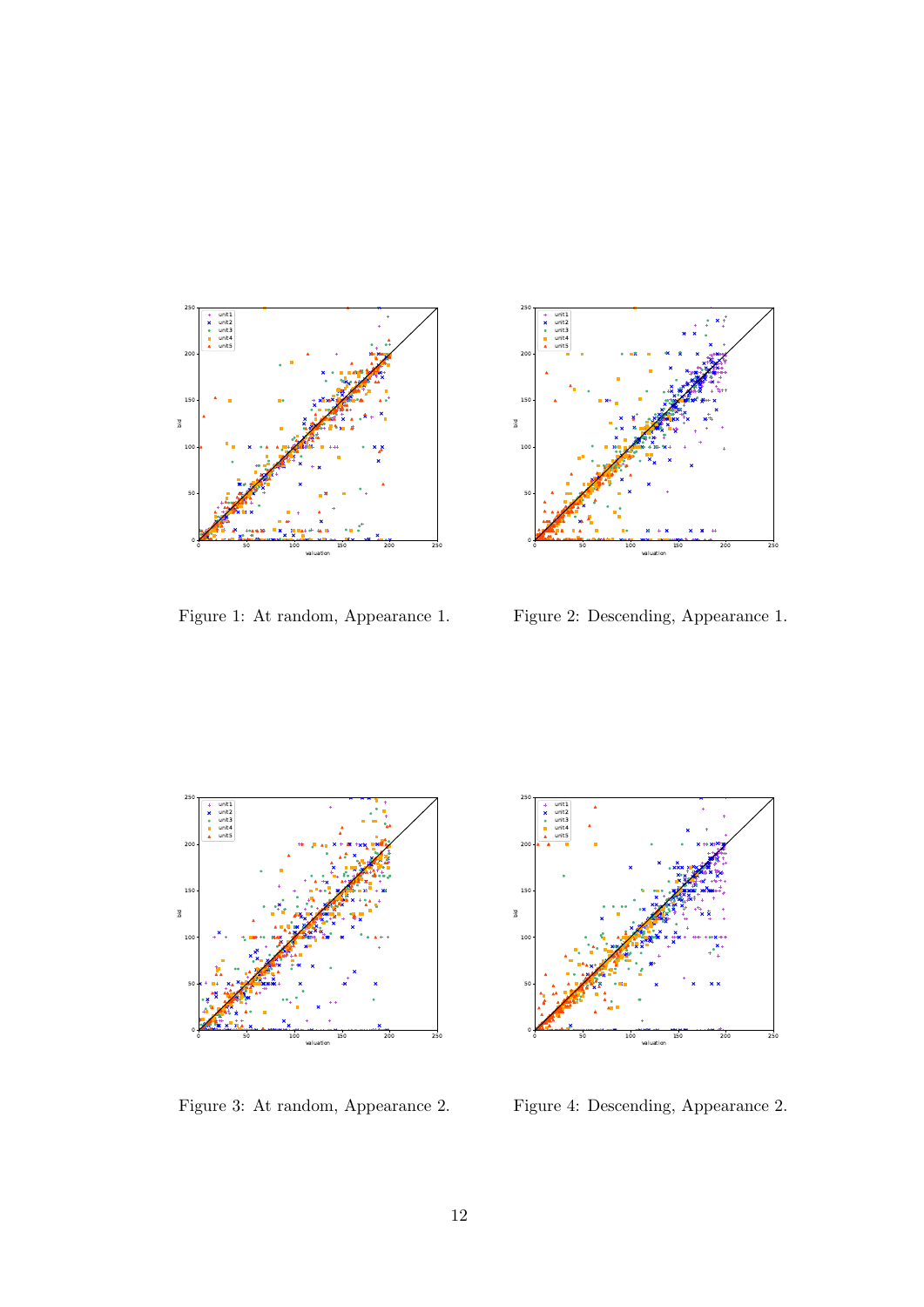

Figure 1: At random, Appearance 1.



Figure 2: Descending, Appearance 1.



Figure 3: At random, Appearance 2.



Figure 4: Descending, Appearance 2.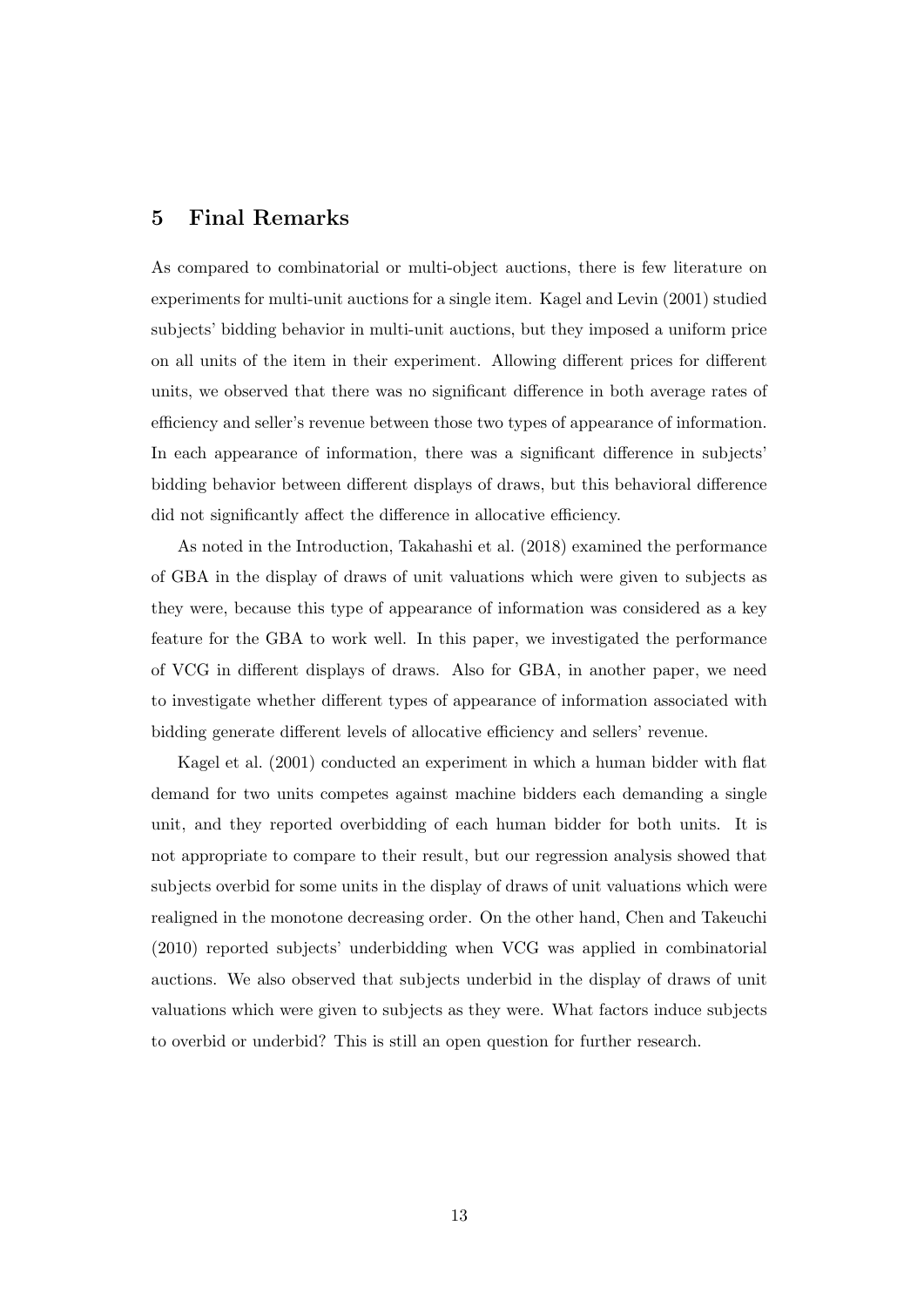#### **5 Final Remarks**

As compared to combinatorial or multi-object auctions, there is few literature on experiments for multi-unit auctions for a single item. Kagel and Levin (2001) studied subjects' bidding behavior in multi-unit auctions, but they imposed a uniform price on all units of the item in their experiment. Allowing different prices for different units, we observed that there was no significant difference in both average rates of efficiency and seller's revenue between those two types of appearance of information. In each appearance of information, there was a significant difference in subjects' bidding behavior between different displays of draws, but this behavioral difference did not significantly affect the difference in allocative efficiency.

As noted in the Introduction, Takahashi et al. (2018) examined the performance of GBA in the display of draws of unit valuations which were given to subjects as they were, because this type of appearance of information was considered as a key feature for the GBA to work well. In this paper, we investigated the performance of VCG in different displays of draws. Also for GBA, in another paper, we need to investigate whether different types of appearance of information associated with bidding generate different levels of allocative efficiency and sellers' revenue.

Kagel et al. (2001) conducted an experiment in which a human bidder with flat demand for two units competes against machine bidders each demanding a single unit, and they reported overbidding of each human bidder for both units. It is not appropriate to compare to their result, but our regression analysis showed that subjects overbid for some units in the display of draws of unit valuations which were realigned in the monotone decreasing order. On the other hand, Chen and Takeuchi (2010) reported subjects' underbidding when VCG was applied in combinatorial auctions. We also observed that subjects underbid in the display of draws of unit valuations which were given to subjects as they were. What factors induce subjects to overbid or underbid? This is still an open question for further research.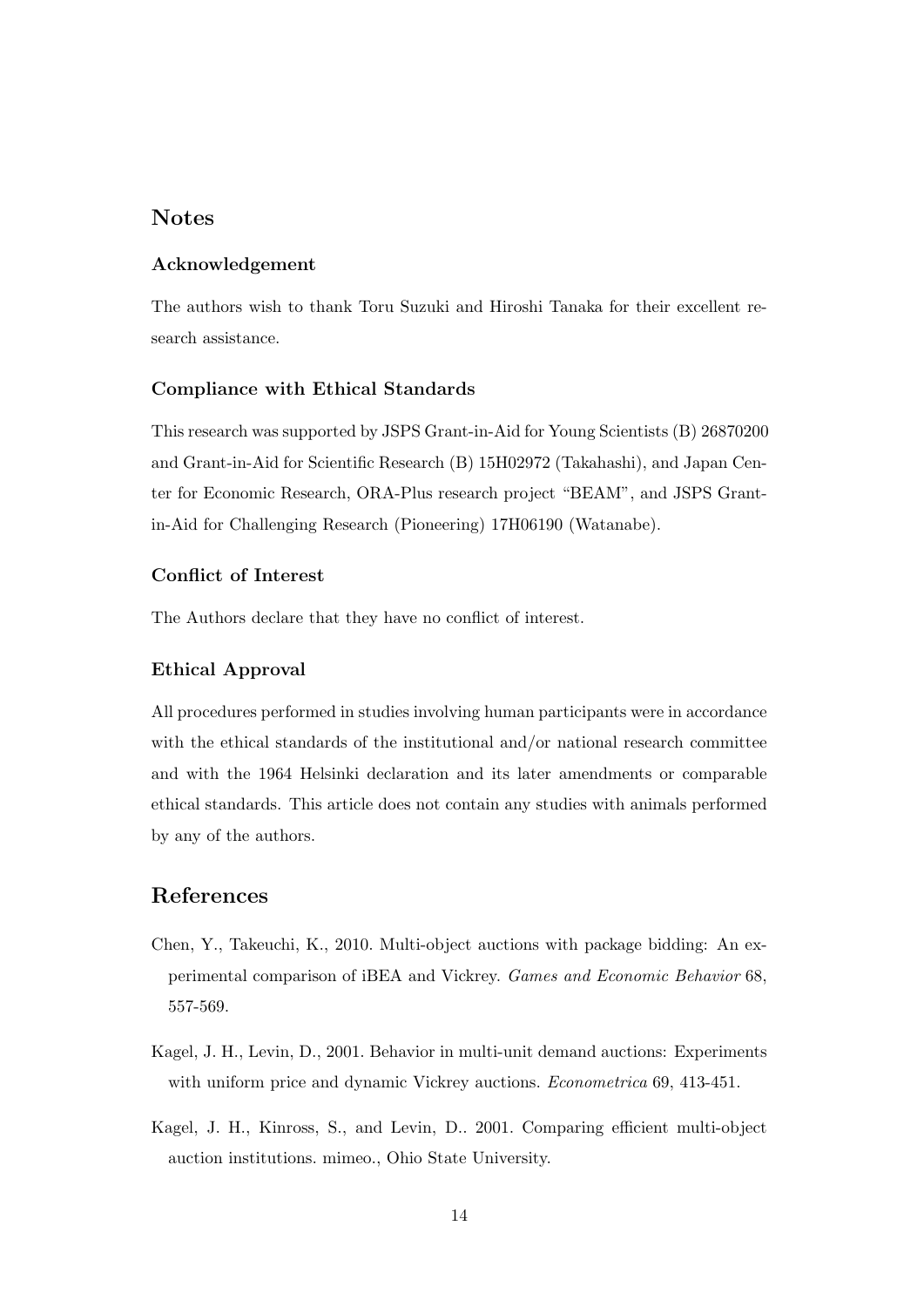#### **Notes**

#### **Acknowledgement**

The authors wish to thank Toru Suzuki and Hiroshi Tanaka for their excellent research assistance.

#### **Compliance with Ethical Standards**

This research was supported by JSPS Grant-in-Aid for Young Scientists (B) 26870200 and Grant-in-Aid for Scientific Research (B) 15H02972 (Takahashi), and Japan Center for Economic Research, ORA-Plus research project "BEAM", and JSPS Grantin-Aid for Challenging Research (Pioneering) 17H06190 (Watanabe).

#### **Conflict of Interest**

The Authors declare that they have no conflict of interest.

#### **Ethical Approval**

All procedures performed in studies involving human participants were in accordance with the ethical standards of the institutional and/or national research committee and with the 1964 Helsinki declaration and its later amendments or comparable ethical standards. This article does not contain any studies with animals performed by any of the authors.

#### **References**

- Chen, Y., Takeuchi, K., 2010. Multi-object auctions with package bidding: An experimental comparison of iBEA and Vickrey. *Games and Economic Behavior* 68, 557-569.
- Kagel, J. H., Levin, D., 2001. Behavior in multi-unit demand auctions: Experiments with uniform price and dynamic Vickrey auctions. *Econometrica* 69, 413-451.
- Kagel, J. H., Kinross, S., and Levin, D.. 2001. Comparing efficient multi-object auction institutions. mimeo., Ohio State University.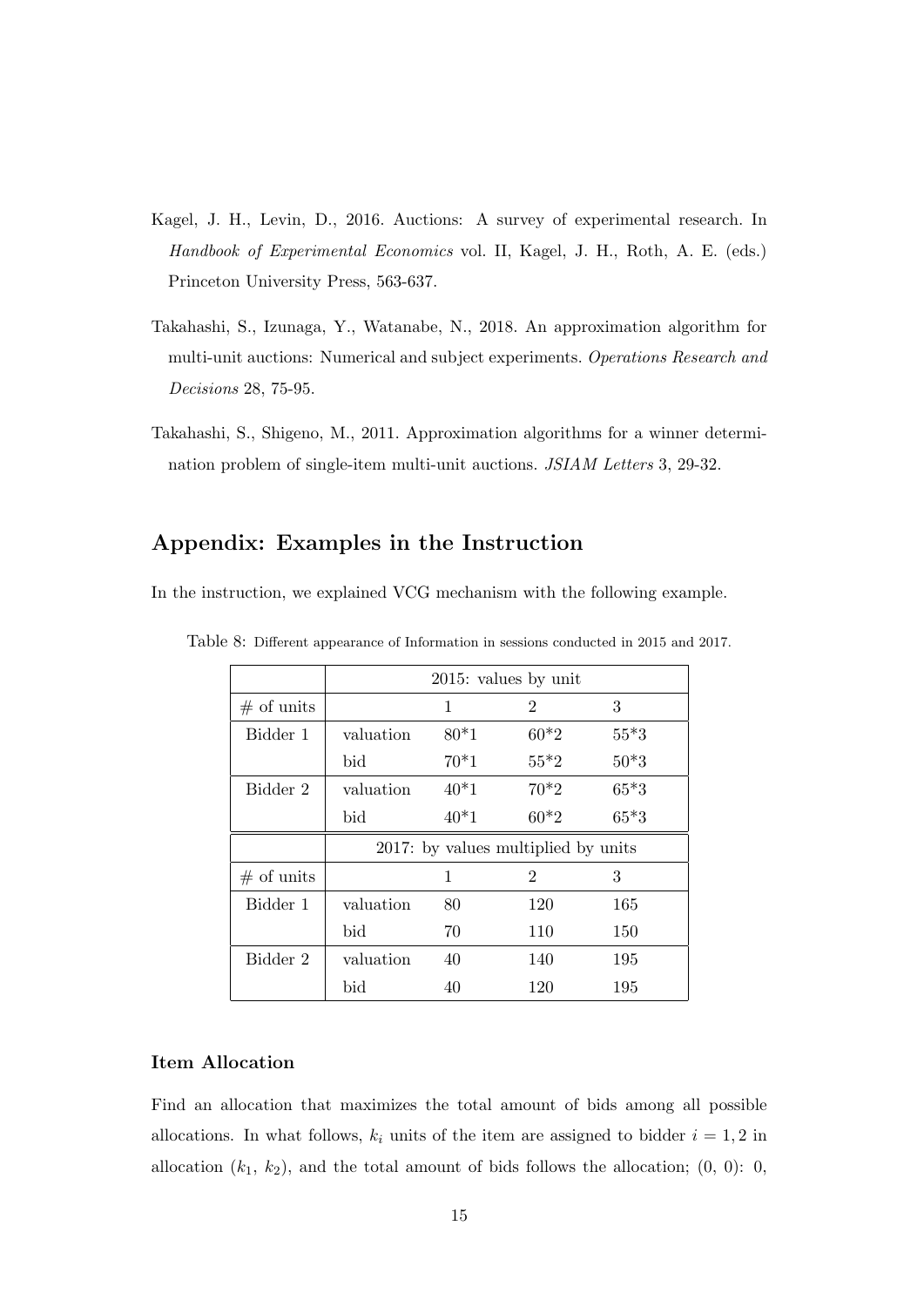- Kagel, J. H., Levin, D., 2016. Auctions: A survey of experimental research. In *Handbook of Experimental Economics* vol. II, Kagel, J. H., Roth, A. E. (eds.) Princeton University Press, 563-637.
- Takahashi, S., Izunaga, Y., Watanabe, N., 2018. An approximation algorithm for multi-unit auctions: Numerical and subject experiments. *Operations Research and Decisions* 28, 75-95.
- Takahashi, S., Shigeno, M., 2011. Approximation algorithms for a winner determination problem of single-item multi-unit auctions. *JSIAM Letters* 3, 29-32.

#### **Appendix: Examples in the Instruction**

In the instruction, we explained VCG mechanism with the following example.

|              | $2015$ : values by unit |                                     |                |        |  |  |  |
|--------------|-------------------------|-------------------------------------|----------------|--------|--|--|--|
| $#$ of units |                         | 1                                   | $\overline{2}$ | 3      |  |  |  |
| Bidder 1     | valuation               | $80*1$                              | $60*2$         | $55*3$ |  |  |  |
|              | bid                     | $70*1$                              | $55*2$         | $50*3$ |  |  |  |
| Bidder 2     | valuation               | $40*1$                              | $70*2$         | $65*3$ |  |  |  |
|              | bid                     | $40*1$                              | $60*2$         | $65*3$ |  |  |  |
|              |                         | 2017: by values multiplied by units |                |        |  |  |  |
| $#$ of units |                         | 1                                   | $\overline{2}$ | 3      |  |  |  |
| Bidder 1     | valuation               | 80                                  | 120            | 165    |  |  |  |
|              | bid                     | 70                                  | 110            | 150    |  |  |  |
| Bidder 2     | valuation               | 40                                  | 140            | 195    |  |  |  |
|              | bid                     | 40                                  | 120            | 195    |  |  |  |

Table 8: Different appearance of Information in sessions conducted in 2015 and 2017.

#### **Item Allocation**

Find an allocation that maximizes the total amount of bids among all possible allocations. In what follows,  $k_i$  units of the item are assigned to bidder  $i = 1, 2$  in allocation  $(k_1, k_2)$ , and the total amount of bids follows the allocation;  $(0, 0)$ : 0,